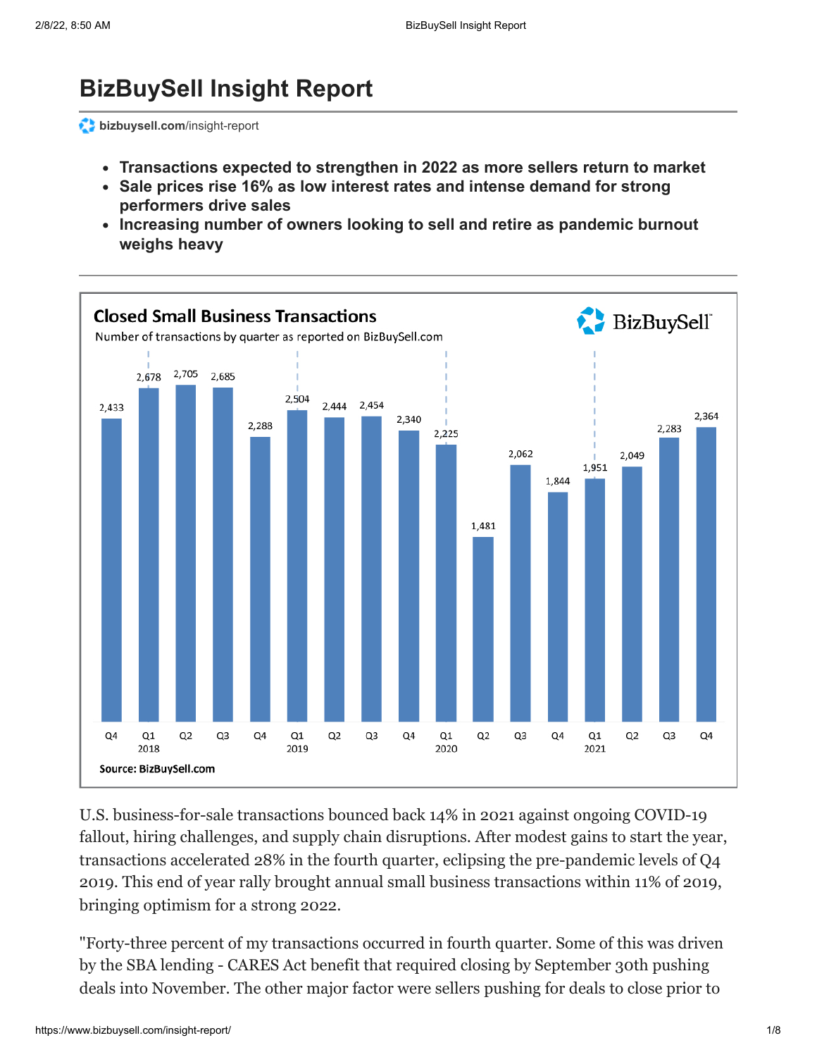# **BizBuySell Insight Report**

**[bizbuysell.com](https://www.bizbuysell.com/insight-report/)/insight-report** 

- **Transactions expected to strengthen in 2022 as more sellers return to market**
- **Sale prices rise 16% as low interest rates and intense demand for strong performers drive sales**
- **Increasing number of owners looking to sell and retire as pandemic burnout weighs heavy**



U.S. business-for-sale transactions bounced back 14% in 2021 against ongoing COVID-19 fallout, hiring challenges, and supply chain disruptions. After modest gains to start the year, transactions accelerated 28% in the fourth quarter, eclipsing the pre-pandemic levels of Q4 2019. This end of year rally brought annual small business transactions within 11% of 2019, bringing optimism for a strong 2022.

"Forty-three percent of my transactions occurred in fourth quarter. Some of this was driven by the SBA lending - CARES Act benefit that required closing by September 30th pushing deals into November. The other major factor were sellers pushing for deals to close prior to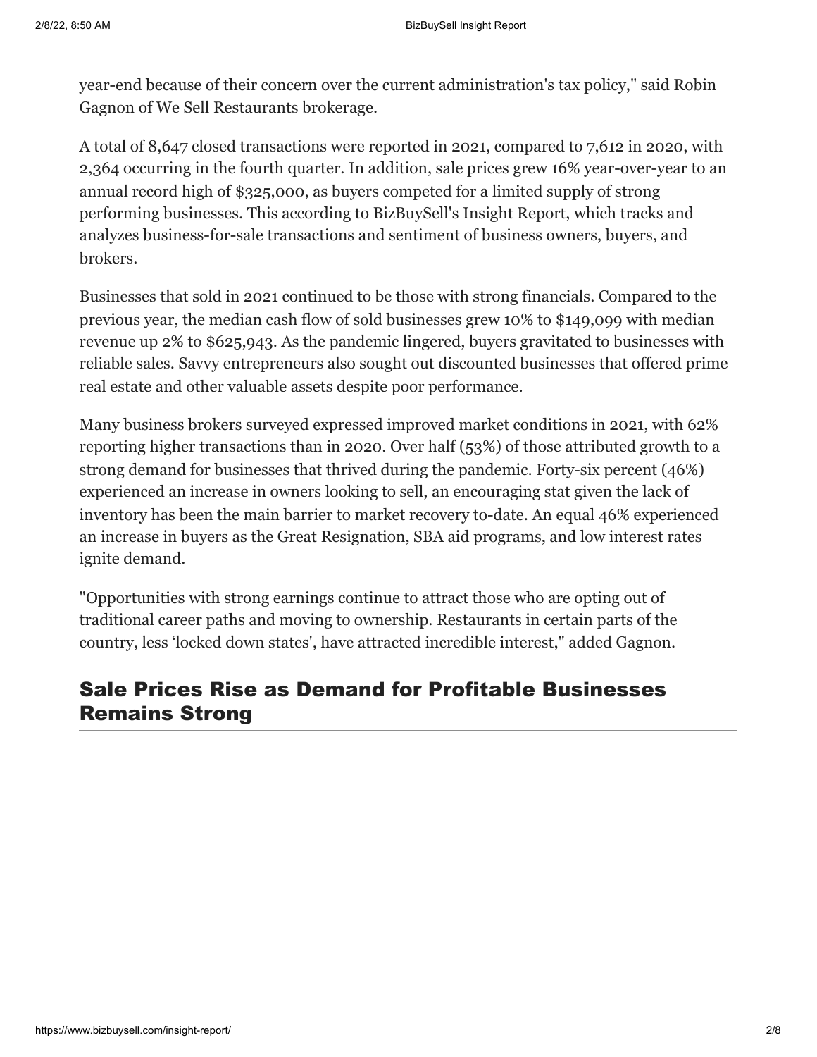year-end because of their concern over the current administration's tax policy," said Robin Gagnon of [We Sell Restaurants](https://www.wesellrestaurants.com/restaurantbrokers.php) brokerage.

A total of 8,647 closed transactions were reported in 2021, compared to 7,612 in 2020, with 2,364 occurring in the fourth quarter. In addition, sale prices grew 16% year-over-year to an annual record high of \$325,000, as buyers competed for a limited supply of strong performing businesses. This according to BizBuySell's Insight Report, which tracks and analyzes business-for-sale transactions and sentiment of business owners, buyers, and brokers.

Businesses that sold in 2021 continued to be those with strong financials. Compared to the previous year, the median cash flow of sold businesses grew 10% to \$149,099 with median revenue up 2% to \$625,943. As the pandemic lingered, buyers gravitated to businesses with reliable sales. Savvy entrepreneurs also sought out discounted businesses that offered prime real estate and other valuable assets despite poor performance.

Many business brokers surveyed expressed improved market conditions in 2021, with 62% reporting higher transactions than in 2020. Over half (53%) of those attributed growth to a strong demand for businesses that thrived during the pandemic. Forty-six percent (46%) experienced an increase in owners looking to sell, an encouraging stat given the lack of inventory has been the main barrier to market recovery to-date. An equal 46% experienced an increase in buyers as the Great Resignation, SBA aid programs, and low interest rates ignite demand.

"Opportunities with strong earnings continue to attract those who are opting out of traditional career paths and moving to ownership. Restaurants in certain parts of the country, less 'locked down states', have attracted incredible interest," added Gagnon.

#### Sale Prices Rise as Demand for Profitable Businesses Remains Strong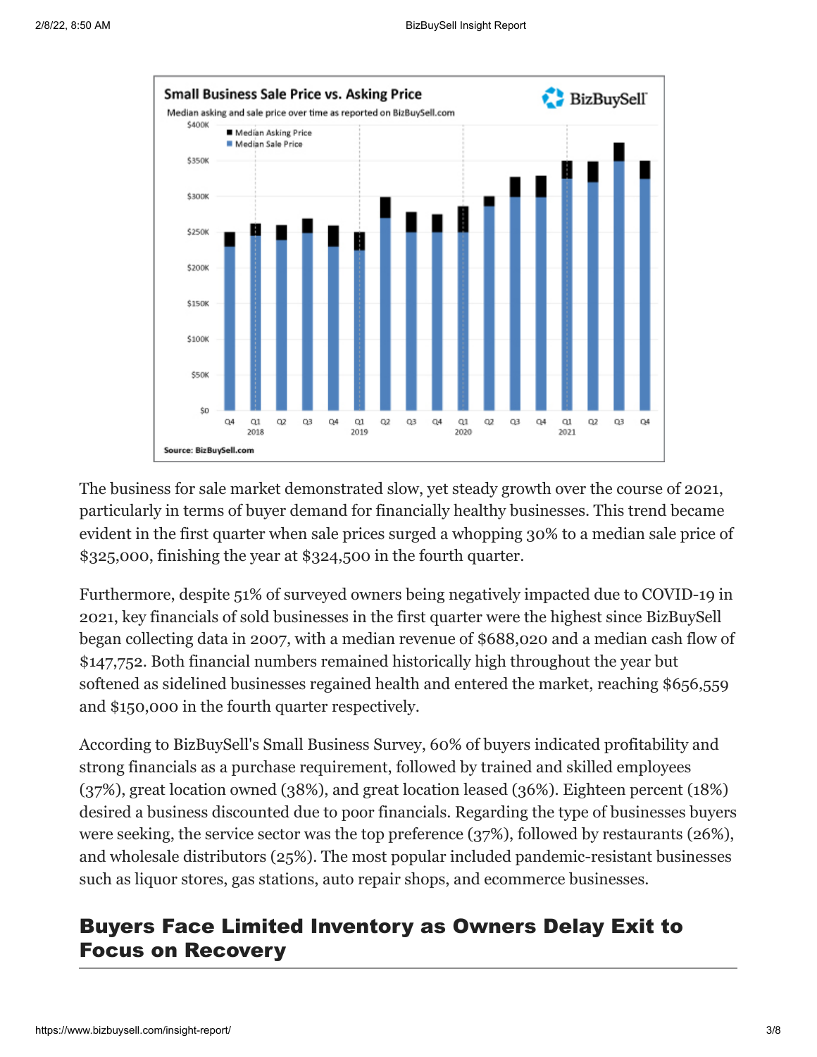

The business for sale market demonstrated slow, yet steady growth over the course of 2021, particularly in terms of buyer demand for financially healthy businesses. This trend became evident in the first quarter when sale prices surged a whopping 30% to a median sale price of \$325,000, finishing the year at \$324,500 in the fourth quarter.

Furthermore, despite 51% of surveyed owners being negatively impacted due to COVID-19 in 2021, key financials of sold businesses in the first quarter were the highest since BizBuySell began collecting data in 2007, with a median revenue of \$688,020 and a median cash flow of \$147,752. Both financial numbers remained historically high throughout the year but softened as sidelined businesses regained health and entered the market, reaching \$656,559 and \$150,000 in the fourth quarter respectively.

According to BizBuySell's Small Business Survey, 60% of buyers indicated profitability and strong financials as a purchase requirement, followed by trained and skilled employees (37%), great location owned (38%), and great location leased (36%). Eighteen percent (18%) desired a business discounted due to poor financials. Regarding the type of businesses buyers were seeking, the service sector was the top preference (37%), followed by restaurants (26%), and wholesale distributors (25%). The most popular included pandemic-resistant businesses such as liquor stores, gas stations, auto repair shops, and ecommerce businesses.

## Buyers Face Limited Inventory as Owners Delay Exit to Focus on Recovery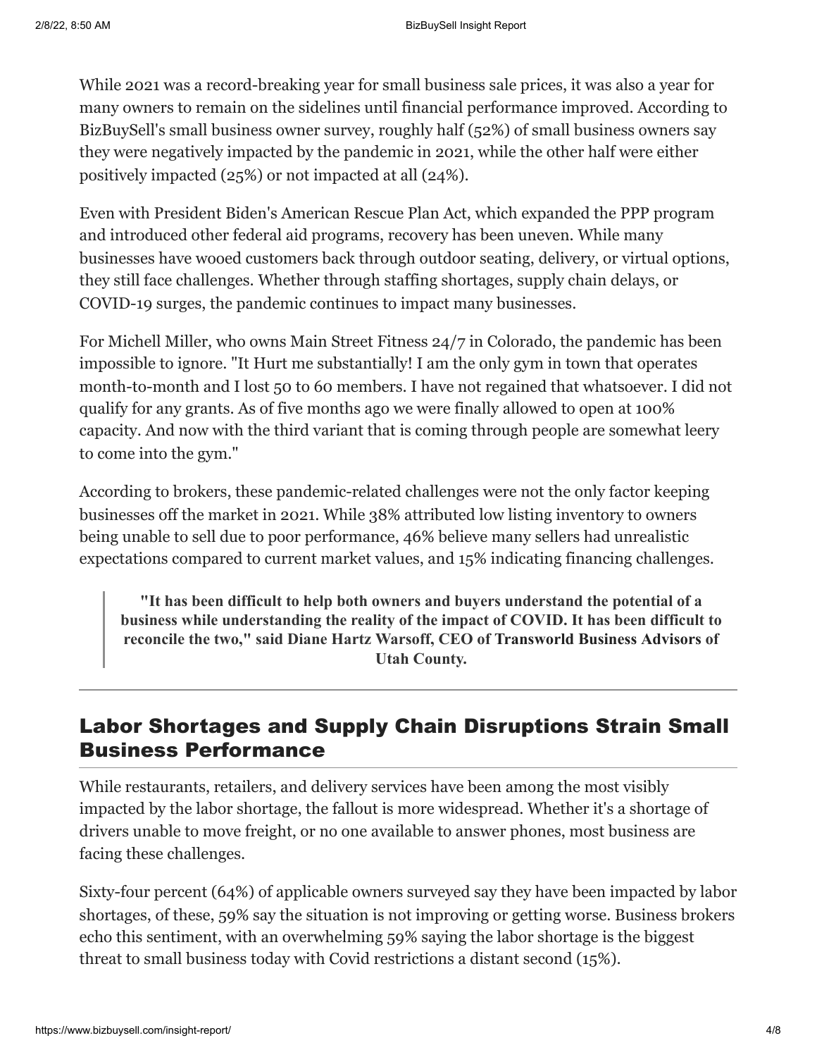While 2021 was a record-breaking year for small business sale prices, it was also a year for many owners to remain on the sidelines until financial performance improved. According to BizBuySell's small business owner survey, roughly half (52%) of small business owners say they were negatively impacted by the pandemic in 2021, while the other half were either positively impacted (25%) or not impacted at all (24%).

Even with President Biden's American Rescue Plan Act, which expanded the PPP program and introduced other federal aid programs, recovery has been uneven. While many businesses have wooed customers back through outdoor seating, delivery, or virtual options, they still face challenges. Whether through staffing shortages, supply chain delays, or COVID-19 surges, the pandemic continues to impact many businesses.

For Michell Miller, who owns Main Street Fitness 24/7 in Colorado, the pandemic has been impossible to ignore. "It Hurt me substantially! I am the only gym in town that operates month-to-month and I lost 50 to 60 members. I have not regained that whatsoever. I did not qualify for any grants. As of five months ago we were finally allowed to open at 100% capacity. And now with the third variant that is coming through people are somewhat leery to come into the gym."

According to brokers, these pandemic-related challenges were not the only factor keeping businesses off the market in 2021. While 38% attributed low listing inventory to owners being unable to sell due to poor performance, 46% believe many sellers had unrealistic expectations compared to current market values, and 15% indicating financing challenges.

**"It has been difficult to help both owners and buyers understand the potential of a business while understanding the reality of the impact of COVID. It has been difficult to reconcile the two," said Diane Hartz Warsoff, CEO of [Transworld Business Advisors](https://www.tworld.com/agent/dianehartzwarsoff/bio/) of Utah County.**

## Labor Shortages and Supply Chain Disruptions Strain Small Business Performance

While restaurants, retailers, and delivery services have been among the most visibly impacted by the labor shortage, the fallout is more widespread. Whether it's a shortage of drivers unable to move freight, or no one available to answer phones, most business are facing these challenges.

Sixty-four percent (64%) of applicable owners surveyed say they have been impacted by labor shortages, of these, 59% say the situation is not improving or getting worse. Business brokers echo this sentiment, with an overwhelming 59% saying the labor shortage is the biggest threat to small business today with Covid restrictions a distant second (15%).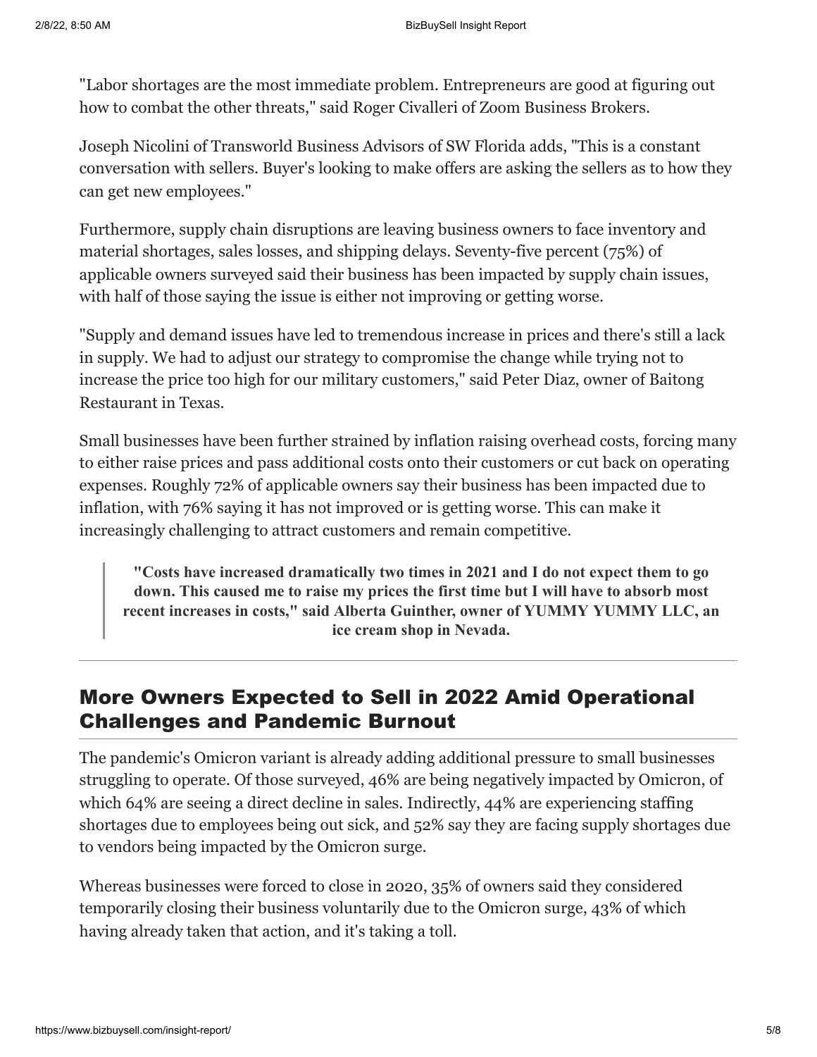"Labor shortages are the most immediate problem. Entrepreneurs are good at figuring out how to combat the other threats," said Roger Civalleri of [Zoom Business Brokers](https://zoombusinessbrokers.com/blog/team/roger-civalleri/).

Joseph Nicolini of [Transworld Business Advisors](https://www.tworld.com/agent/josephnicolini/) of SW Florida adds, "This is a constant conversation with sellers. Buyer's looking to make offers are asking the sellers as to how they can get new employees."

Furthermore, supply chain disruptions are leaving business owners to face inventory and material shortages, sales losses, and shipping delays. Seventy-five percent (75%) of applicable owners surveyed said their business has been impacted by supply chain issues, with half of those saying the issue is either not improving or getting worse.

"Supply and demand issues have led to tremendous increase in prices and there's still a lack in supply. We had to adjust our strategy to compromise the change while trying not to increase the price too high for our military customers," said Peter Diaz, owner of Baitong Restaurant in Texas.

Small businesses have been further strained by inflation raising overhead costs, forcing many to either raise prices and pass additional costs onto their customers or cut back on operating expenses. Roughly 72% of applicable owners say their business has been impacted due to inflation, with 76% saying it has not improved or is getting worse. This can make it increasingly challenging to attract customers and remain competitive.

**"Costs have increased dramatically two times in 2021 and I do not expect them to go down. This caused me to raise my prices the first time but I will have to absorb most recent increases in costs," said Alberta Guinther, owner of YUMMY YUMMY LLC, an ice cream shop in Nevada.**

# More Owners Expected to Sell in 2022 Amid Operational Challenges and Pandemic Burnout

The pandemic's Omicron variant is already adding additional pressure to small businesses struggling to operate. Of those surveyed, 46% are being negatively impacted by Omicron, of which 64% are seeing a direct decline in sales. Indirectly, 44% are experiencing staffing shortages due to employees being out sick, and 52% say they are facing supply shortages due to vendors being impacted by the Omicron surge.

Whereas businesses were forced to close in 2020, 35% of owners said they considered temporarily closing their business voluntarily due to the Omicron surge, 43% of which having already taken that action, and it's taking a toll.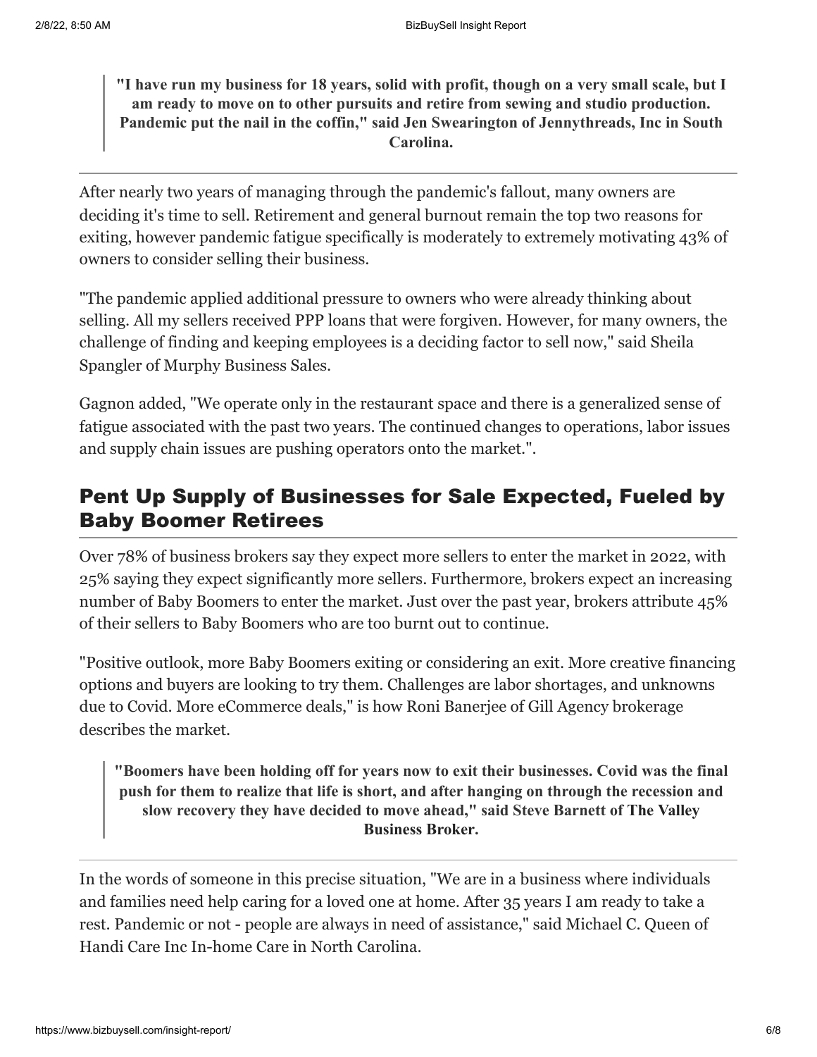**"I have run my business for 18 years, solid with profit, though on a very small scale, but I am ready to move on to other pursuits and retire from sewing and studio production. Pandemic put the nail in the coffin," said Jen Swearington of Jennythreads, Inc in South Carolina.**

After nearly two years of managing through the pandemic's fallout, many owners are deciding it's time to sell. Retirement and general burnout remain the top two reasons for exiting, however pandemic fatigue specifically is moderately to extremely motivating 43% of owners to consider selling their business.

"The pandemic applied additional pressure to owners who were already thinking about selling. All my sellers received PPP loans that were forgiven. However, for many owners, the challenge of finding and keeping employees is a deciding factor to sell now," said Sheila Spangler of [Murphy Business Sales](https://murphybusiness.com/corporate-information/our-people/our-brokers/649/sheila-spangler/).

Gagnon added, "We operate only in the restaurant space and there is a generalized sense of fatigue associated with the past two years. The continued changes to operations, labor issues and supply chain issues are pushing operators onto the market.".

# Pent Up Supply of Businesses for Sale Expected, Fueled by Baby Boomer Retirees

Over 78% of business brokers say they expect more sellers to enter the market in 2022, with 25% saying they expect significantly more sellers. Furthermore, brokers expect an increasing number of Baby Boomers to enter the market. Just over the past year, brokers attribute 45% of their sellers to Baby Boomers who are too burnt out to continue.

"Positive outlook, more Baby Boomers exiting or considering an exit. More creative financing options and buyers are looking to try them. Challenges are labor shortages, and unknowns due to Covid. More eCommerce deals," is how Roni Banerjee of [Gill Agency](https://gillagency.co/our-team) brokerage describes the market.

**"Boomers have been holding off for years now to exit their businesses. Covid was the final push for them to realize that life is short, and after hanging on through the recession and slow recovery they have decided [to move ahead," said Steve Barnett of The Valley](https://www.thevalleybusinessbroker.com/about-us/) Business Broker.**

In the words of someone in this precise situation, "We are in a business where individuals and families need help caring for a loved one at home. After 35 years I am ready to take a rest. Pandemic or not - people are always in need of assistance," said Michael C. Queen of Handi Care Inc In-home Care in North Carolina.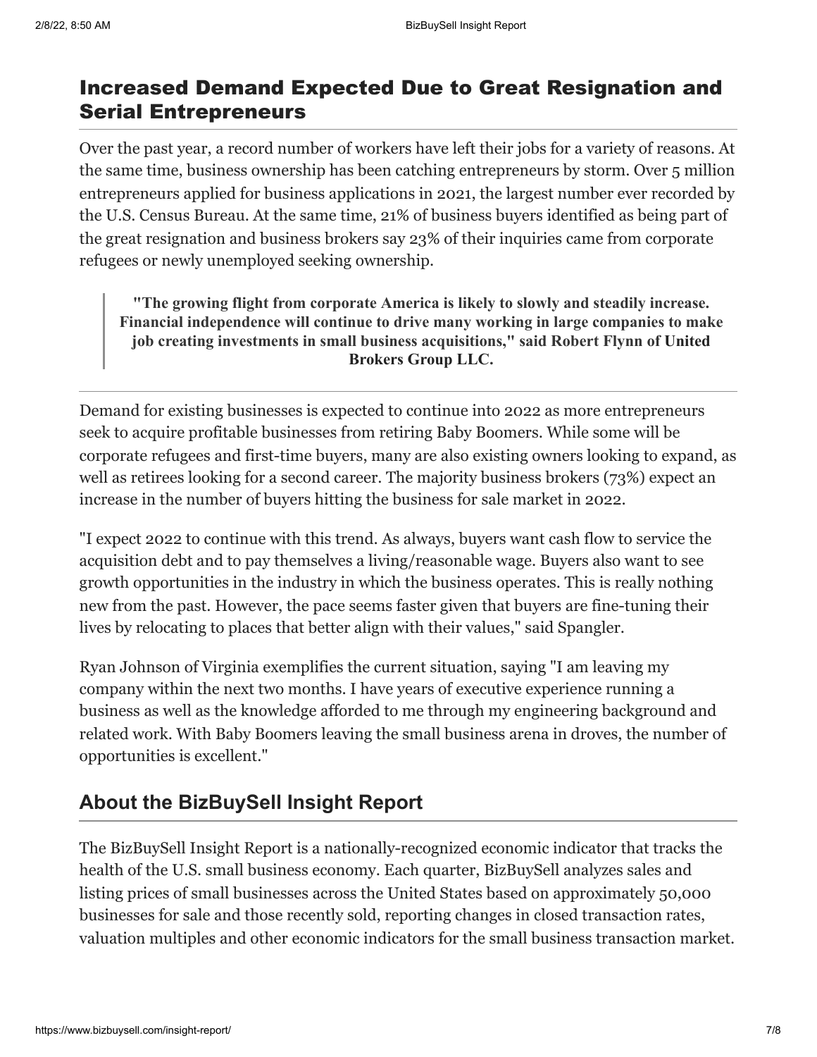## Increased Demand Expected Due to Great Resignation and Serial Entrepreneurs

Over the past year, a [record number of workers](https://www.bls.gov/news.release/jolts.nr0.htm) have left their jobs for a variety of reasons. At the same time, business ownership has been catching entrepreneurs by storm. Over 5 million entrepreneurs applied for business applications in 2021, the largest number ever recorded by the [U.S. Census Bureau.](https://www.census.gov/econ/bfs/index.html) At the same time, 21% of business buyers identified as being part of the great resignation and business brokers say 23% of their inquiries came from corporate refugees or newly unemployed seeking ownership.

**"The growing flight from corporate America is likely to slowly and steadily increase. Financial independence will continue to drive many working in large companies to make job creating investments in sma[ll business acquisitions," said Robert Flynn of United](https://unitedbrokersgrp.com/) Brokers Group LLC.**

Demand for existing businesses is expected to continue into 2022 as more entrepreneurs seek to acquire profitable businesses from retiring Baby Boomers. While some will be corporate refugees and first-time buyers, many are also existing owners looking to expand, as well as retirees looking for a second career. The majority business brokers (73%) expect an increase in the number of buyers hitting the business for sale market in 2022.

"I expect 2022 to continue with this trend. As always, buyers want cash flow to service the acquisition debt and to pay themselves a living/reasonable wage. Buyers also want to see growth opportunities in the industry in which the business operates. This is really nothing new from the past. However, the pace seems faster given that buyers are fine-tuning their lives by relocating to places that better align with their values," said Spangler.

Ryan Johnson of Virginia exemplifies the current situation, saying "I am leaving my company within the next two months. I have years of executive experience running a business as well as the knowledge afforded to me through my engineering background and related work. With Baby Boomers leaving the small business arena in droves, the number of opportunities is excellent."

## **About the BizBuySell Insight Report**

The BizBuySell Insight Report is a nationally-recognized economic indicator that tracks the health of the U.S. small business economy. Each quarter, BizBuySell analyzes sales and listing prices of small businesses across the United States based on approximately 50,000 businesses for sale and those recently sold, reporting changes in closed transaction rates, valuation multiples and other economic indicators for the small business transaction market.